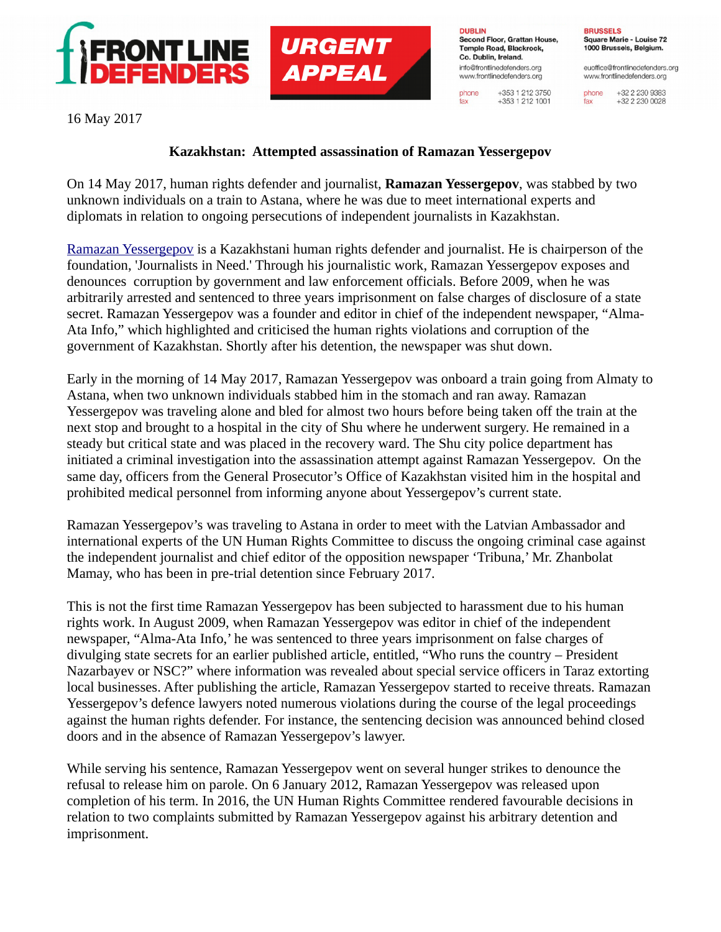



**DUBLIN** Second Floor, Grattan House, Temple Road, Blackrock. Co. Dublin, Ireland. info@frontlinedefenders.org www.frontlinedefenders.org

phone

fax

+353 1 212 3750

 $+353$  1 212 1001

**BRUSSELS** Square Marie - Louise 72 1000 Brussels, Belgium.

euoffice@frontlinedefenders.org www.frontlinedefenders.org

+32 2 230 9383 phone +32 2 230 0028 fax

16 May 2017

## **Kazakhstan: Attempted assassination of Ramazan Yessergepov**

On 14 May 2017, human rights defender and journalist, **Ramazan Yessergepov**, was stabbed by two unknown individuals on a train to Astana, where he was due to meet international experts and diplomats in relation to ongoing persecutions of independent journalists in Kazakhstan.

[Ramazan Yessergepov](https://www.frontlinedefenders.org/en/profile/ramazan-yessergepov) is a Kazakhstani human rights defender and journalist. He is chairperson of the foundation, 'Journalists in Need.' Through his journalistic work, Ramazan Yessergepov exposes and denounces corruption by government and law enforcement officials. Before 2009, when he was arbitrarily arrested and sentenced to three years imprisonment on false charges of disclosure of a state secret. Ramazan Yessergepov was a founder and editor in chief of the independent newspaper, "Alma-Ata Info," which highlighted and criticised the human rights violations and corruption of the government of Kazakhstan. Shortly after his detention, the newspaper was shut down.

Early in the morning of 14 May 2017, Ramazan Yessergepov was onboard a train going from Almaty to Astana, when two unknown individuals stabbed him in the stomach and ran away. Ramazan Yessergepov was traveling alone and bled for almost two hours before being taken off the train at the next stop and brought to a hospital in the city of Shu where he underwent surgery. He remained in a steady but critical state and was placed in the recovery ward. The Shu city police department has initiated a criminal investigation into the assassination attempt against Ramazan Yessergepov. On the same day, officers from the General Prosecutor's Office of Kazakhstan visited him in the hospital and prohibited medical personnel from informing anyone about Yessergepov's current state.

Ramazan Yessergepov's was traveling to Astana in order to meet with the Latvian Ambassador and international experts of the UN Human Rights Committee to discuss the ongoing criminal case against the independent journalist and chief editor of the opposition newspaper 'Tribuna,' Mr. Zhanbolat Mamay, who has been in pre-trial detention since February 2017.

This is not the first time Ramazan Yessergepov has been subjected to harassment due to his human rights work. In August 2009, when Ramazan Yessergepov was editor in chief of the independent newspaper, "Alma-Ata Info,' he was sentenced to three years imprisonment on false charges of divulging state secrets for an earlier published article, entitled, "Who runs the country – President Nazarbayev or NSC?" where information was revealed about special service officers in Taraz extorting local businesses. After publishing the article, Ramazan Yessergepov started to receive threats. Ramazan Yessergepov's defence lawyers noted numerous violations during the course of the legal proceedings against the human rights defender. For instance, the sentencing decision was announced behind closed doors and in the absence of Ramazan Yessergepov's lawyer.

While serving his sentence, Ramazan Yessergepov went on several hunger strikes to denounce the refusal to release him on parole. On 6 January 2012, Ramazan Yessergepov was released upon completion of his term. In 2016, the UN Human Rights Committee rendered favourable decisions in relation to two complaints submitted by Ramazan Yessergepov against his arbitrary detention and imprisonment.